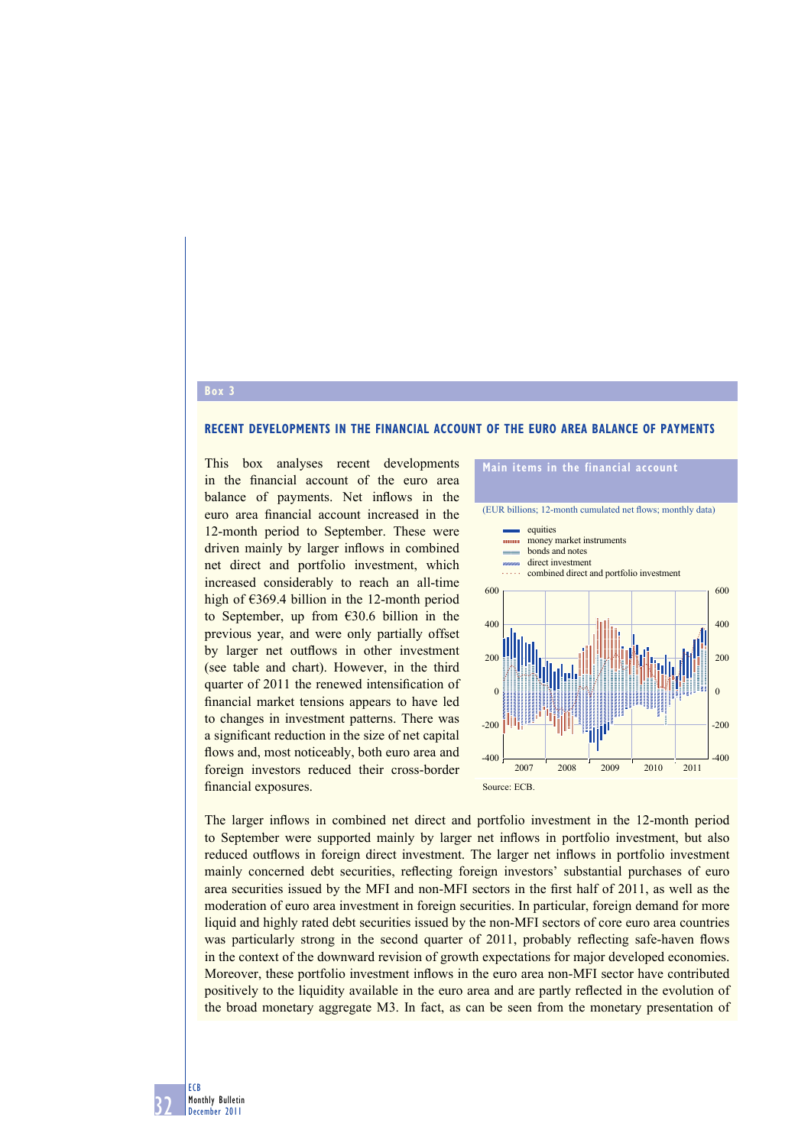## **RECENT DEVELOPMENTS IN THE FINANCIAL ACCOUNT OF THE EURO AREA BALANCE OF PAYMENTS**

This box analyses recent developments in the financial account of the euro area balance of payments. Net inflows in the euro area financial account increased in the 12-month period to September. These were driven mainly by larger inflows in combined net direct and portfolio investment, which increased considerably to reach an all-time high of €369.4 billion in the 12-month period to September, up from €30.6 billion in the previous year, and were only partially offset by larger net outflows in other investment (see table and chart). However, in the third quarter of 2011 the renewed intensification of financial market tensions appears to have led to changes in investment patterns. There was a significant reduction in the size of net capital flows and, most noticeably, both euro area and foreign investors reduced their cross-border financial exposures.



The larger inflows in combined net direct and portfolio investment in the 12-month period to September were supported mainly by larger net inflows in portfolio investment, but also reduced outflows in foreign direct investment. The larger net inflows in portfolio investment mainly concerned debt securities, reflecting foreign investors' substantial purchases of euro area securities issued by the MFI and non-MFI sectors in the first half of 2011, as well as the moderation of euro area investment in foreign securities. In particular, foreign demand for more liquid and highly rated debt securities issued by the non-MFI sectors of core euro area countries was particularly strong in the second quarter of 2011, probably reflecting safe-haven flows in the context of the downward revision of growth expectations for major developed economies. Moreover, these portfolio investment inflows in the euro area non-MFI sector have contributed positively to the liquidity available in the euro area and are partly reflected in the evolution of the broad monetary aggregate M3. In fact, as can be seen from the monetary presentation of

32 Monthly Bulletin December 2011

**Box 3**

ECB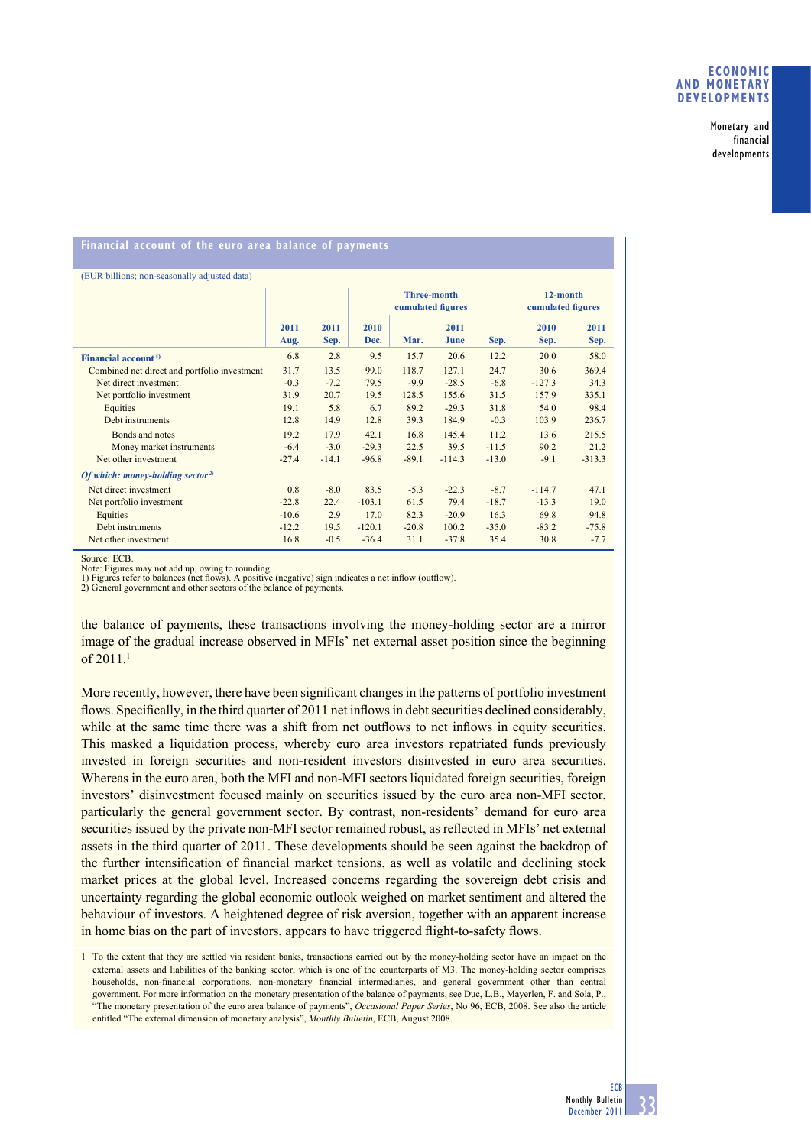Monetary and financial developments

## **Financial account of the euro area balance of payments**

| (EUR billions; non-seasonally adjusted data) |         |         |                                         |         |          |                               |          |          |
|----------------------------------------------|---------|---------|-----------------------------------------|---------|----------|-------------------------------|----------|----------|
|                                              |         |         | <b>Three-month</b><br>cumulated figures |         |          | 12-month<br>cumulated figures |          |          |
|                                              | 2011    | 2011    | 2010                                    |         | 2011     |                               | 2010     | 2011     |
|                                              | Aug.    | Sep.    | Dec.                                    | Mar.    | June     | Sep.                          | Sep.     | Sep.     |
| Financial account <sup>1)</sup>              | 6.8     | 2.8     | 9.5                                     | 15.7    | 20.6     | 12.2                          | 20.0     | 58.0     |
| Combined net direct and portfolio investment | 31.7    | 13.5    | 99.0                                    | 118.7   | 127.1    | 24.7                          | 30.6     | 369.4    |
| Net direct investment                        | $-0.3$  | $-7.2$  | 79.5                                    | $-9.9$  | $-28.5$  | $-6.8$                        | $-127.3$ | 34.3     |
| Net portfolio investment                     | 31.9    | 20.7    | 19.5                                    | 128.5   | 155.6    | 31.5                          | 157.9    | 335.1    |
| Equities                                     | 19.1    | 5.8     | 6.7                                     | 89.2    | $-29.3$  | 31.8                          | 54.0     | 98.4     |
| Debt instruments                             | 12.8    | 14.9    | 12.8                                    | 39.3    | 184.9    | $-0.3$                        | 103.9    | 236.7    |
| Bonds and notes                              | 19.2    | 17.9    | 42.1                                    | 16.8    | 145.4    | 11.2                          | 13.6     | 215.5    |
| Money market instruments                     | $-6.4$  | $-3.0$  | $-29.3$                                 | 22.5    | 39.5     | $-11.5$                       | 90.2     | 21.2     |
| Net other investment                         | $-27.4$ | $-14.1$ | $-96.8$                                 | $-89.1$ | $-114.3$ | $-13.0$                       | $-9.1$   | $-313.3$ |
| Of which: money-holding sector <sup>2)</sup> |         |         |                                         |         |          |                               |          |          |
| Net direct investment                        | 0.8     | $-8.0$  | 83.5                                    | $-5.3$  | $-22.3$  | $-8.7$                        | $-114.7$ | 47.1     |
| Net portfolio investment                     | $-22.8$ | 22.4    | $-103.1$                                | 61.5    | 79.4     | $-18.7$                       | $-13.3$  | 19.0     |
| Equities                                     | $-10.6$ | 2.9     | 17.0                                    | 82.3    | $-20.9$  | 16.3                          | 69.8     | 94.8     |
| Debt instruments                             | $-12.2$ | 19.5    | $-120.1$                                | $-20.8$ | 100.2    | $-35.0$                       | $-83.2$  | $-75.8$  |
| Net other investment                         | 16.8    | $-0.5$  | $-36.4$                                 | 31.1    | $-37.8$  | 35.4                          | 30.8     | $-7.7$   |

Source: ECB.

Note: Figures may not add up, owing to rounding.<br>1) Figures refer to balances (net flows). A positive (negative) sign indicates a net inflow (outflow).

2) General government and other sectors of the balance of payments.

the balance of payments, these transactions involving the money-holding sector are a mirror image of the gradual increase observed in MFIs' net external asset position since the beginning of 2011.1

More recently, however, there have been significant changes in the patterns of portfolio investment flows. Specifically, in the third quarter of 2011 net inflows in debt securities declined considerably, while at the same time there was a shift from net outflows to net inflows in equity securities. This masked a liquidation process, whereby euro area investors repatriated funds previously invested in foreign securities and non-resident investors disinvested in euro area securities. Whereas in the euro area, both the MFI and non-MFI sectors liquidated foreign securities, foreign investors' disinvestment focused mainly on securities issued by the euro area non-MFI sector, particularly the general government sector. By contrast, non-residents' demand for euro area securities issued by the private non-MFI sector remained robust, as reflected in MFIs' net external assets in the third quarter of 2011. These developments should be seen against the backdrop of the further intensification of financial market tensions, as well as volatile and declining stock market prices at the global level. Increased concerns regarding the sovereign debt crisis and uncertainty regarding the global economic outlook weighed on market sentiment and altered the behaviour of investors. A heightened degree of risk aversion, together with an apparent increase in home bias on the part of investors, appears to have triggered flight-to-safety flows.

<sup>1</sup> To the extent that they are settled via resident banks, transactions carried out by the money-holding sector have an impact on the external assets and liabilities of the banking sector, which is one of the counterparts of M3. The money-holding sector comprises households, non-financial corporations, non-monetary financial intermediaries, and general government other than central government. For more information on the monetary presentation of the balance of payments, see Duc, L.B., Mayerlen, F. and Sola, P., "The monetary presentation of the euro area balance of payments", *Occasional Paper Series*, No 96, ECB, 2008. See also the article entitled "The external dimension of monetary analysis", *Monthly Bulletin*, ECB, August 2008.